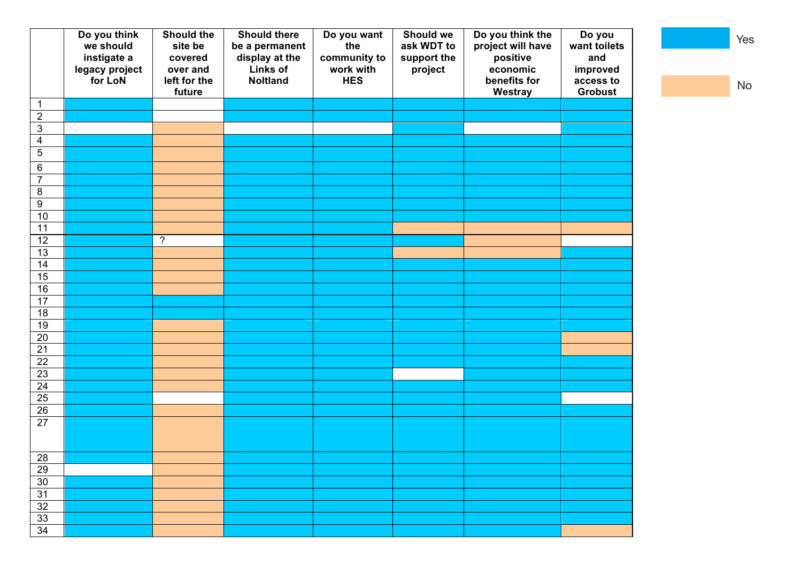|                            | Do you think<br>we should<br>instigate a<br>legacy project<br>for LoN | Should the<br>site be<br>covered<br>over and<br>left for the | <b>Should there</b><br>be a permanent<br>display at the<br>Links of<br><b>Noltland</b> | Do you want<br>the<br>community to<br>work with<br><b>HES</b> | Should we<br>ask WDT to<br>support the<br>project | Do you think the<br>project will have<br>positive<br>economic<br>benefits for | Do you<br>want toilets<br>and<br>improved<br>access to |
|----------------------------|-----------------------------------------------------------------------|--------------------------------------------------------------|----------------------------------------------------------------------------------------|---------------------------------------------------------------|---------------------------------------------------|-------------------------------------------------------------------------------|--------------------------------------------------------|
|                            |                                                                       | future                                                       |                                                                                        |                                                               |                                                   | Westray                                                                       | <b>Grobust</b>                                         |
| $\mathbf 1$<br>$\mathbf 2$ |                                                                       |                                                              |                                                                                        |                                                               |                                                   |                                                                               |                                                        |
| $\overline{3}$             |                                                                       |                                                              |                                                                                        |                                                               |                                                   |                                                                               |                                                        |
| $\overline{\mathbf{4}}$    |                                                                       |                                                              |                                                                                        |                                                               |                                                   |                                                                               |                                                        |
| $\overline{5}$             |                                                                       |                                                              |                                                                                        |                                                               |                                                   |                                                                               |                                                        |
| $\,6$                      |                                                                       |                                                              |                                                                                        |                                                               |                                                   |                                                                               |                                                        |
| $\overline{7}$             |                                                                       |                                                              |                                                                                        |                                                               |                                                   |                                                                               |                                                        |
| 8                          |                                                                       |                                                              |                                                                                        |                                                               |                                                   |                                                                               |                                                        |
| $\overline{9}$             |                                                                       |                                                              |                                                                                        |                                                               |                                                   |                                                                               |                                                        |
| 10                         |                                                                       |                                                              |                                                                                        |                                                               |                                                   |                                                                               |                                                        |
| 11                         |                                                                       |                                                              |                                                                                        |                                                               |                                                   |                                                                               |                                                        |
| $\overline{12}$            |                                                                       | $\overline{\cdot}$                                           |                                                                                        |                                                               |                                                   |                                                                               |                                                        |
| $\overline{13}$            |                                                                       |                                                              |                                                                                        |                                                               |                                                   |                                                                               |                                                        |
| 14                         |                                                                       |                                                              |                                                                                        |                                                               |                                                   |                                                                               |                                                        |
| 15                         |                                                                       |                                                              |                                                                                        |                                                               |                                                   |                                                                               |                                                        |
| 16                         |                                                                       |                                                              |                                                                                        |                                                               |                                                   |                                                                               |                                                        |
| 17                         |                                                                       |                                                              |                                                                                        |                                                               |                                                   |                                                                               |                                                        |
| 18                         |                                                                       |                                                              |                                                                                        |                                                               |                                                   |                                                                               |                                                        |
| 19                         |                                                                       |                                                              |                                                                                        |                                                               |                                                   |                                                                               |                                                        |
| $\overline{20}$            |                                                                       |                                                              |                                                                                        |                                                               |                                                   |                                                                               |                                                        |
| $\overline{21}$            |                                                                       |                                                              |                                                                                        |                                                               |                                                   |                                                                               |                                                        |
| $\overline{22}$            |                                                                       |                                                              |                                                                                        |                                                               |                                                   |                                                                               |                                                        |
| 23                         |                                                                       |                                                              |                                                                                        |                                                               |                                                   |                                                                               |                                                        |
| 24                         |                                                                       |                                                              |                                                                                        |                                                               |                                                   |                                                                               |                                                        |
| 25<br>$\overline{26}$      |                                                                       |                                                              |                                                                                        |                                                               |                                                   |                                                                               |                                                        |
| 27                         |                                                                       |                                                              |                                                                                        |                                                               |                                                   |                                                                               |                                                        |
|                            |                                                                       |                                                              |                                                                                        |                                                               |                                                   |                                                                               |                                                        |
|                            |                                                                       |                                                              |                                                                                        |                                                               |                                                   |                                                                               |                                                        |
| 28                         |                                                                       |                                                              |                                                                                        |                                                               |                                                   |                                                                               |                                                        |
| 29                         |                                                                       |                                                              |                                                                                        |                                                               |                                                   |                                                                               |                                                        |
| 30                         |                                                                       |                                                              |                                                                                        |                                                               |                                                   |                                                                               |                                                        |
| 31                         |                                                                       |                                                              |                                                                                        |                                                               |                                                   |                                                                               |                                                        |
| $\overline{32}$            |                                                                       |                                                              |                                                                                        |                                                               |                                                   |                                                                               |                                                        |
| 33                         |                                                                       |                                                              |                                                                                        |                                                               |                                                   |                                                                               |                                                        |
| 34                         |                                                                       |                                                              |                                                                                        |                                                               |                                                   |                                                                               |                                                        |

Yes

No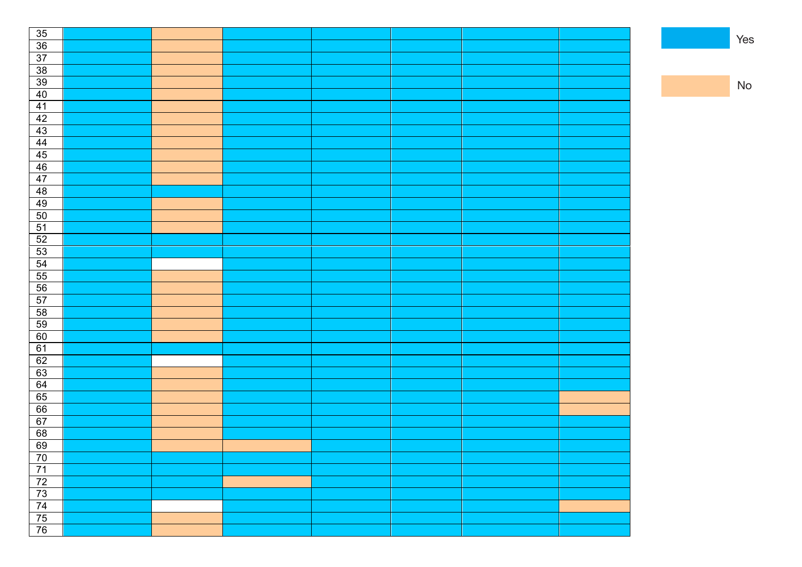| 35                                              |  |  |  |  |
|-------------------------------------------------|--|--|--|--|
|                                                 |  |  |  |  |
| $\frac{36}{37}$                                 |  |  |  |  |
|                                                 |  |  |  |  |
| $\frac{38}{39}$                                 |  |  |  |  |
| 40                                              |  |  |  |  |
| 41                                              |  |  |  |  |
| 42                                              |  |  |  |  |
| 43                                              |  |  |  |  |
| 44                                              |  |  |  |  |
| $\frac{45}{46}$                                 |  |  |  |  |
|                                                 |  |  |  |  |
| 47                                              |  |  |  |  |
| 48                                              |  |  |  |  |
| 49                                              |  |  |  |  |
| $50\,$                                          |  |  |  |  |
| $\frac{51}{52}$                                 |  |  |  |  |
|                                                 |  |  |  |  |
|                                                 |  |  |  |  |
|                                                 |  |  |  |  |
| $\frac{53}{54}$<br>$\frac{54}{55}$              |  |  |  |  |
| 56                                              |  |  |  |  |
| 57                                              |  |  |  |  |
| 58                                              |  |  |  |  |
| 59                                              |  |  |  |  |
| 60                                              |  |  |  |  |
| 61                                              |  |  |  |  |
| 62                                              |  |  |  |  |
| 63                                              |  |  |  |  |
| 64                                              |  |  |  |  |
| 65                                              |  |  |  |  |
| 66                                              |  |  |  |  |
| 67                                              |  |  |  |  |
| 68                                              |  |  |  |  |
| 69                                              |  |  |  |  |
|                                                 |  |  |  |  |
| $\frac{70}{71}$                                 |  |  |  |  |
|                                                 |  |  |  |  |
| $\frac{72}{73}$ $\frac{73}{74}$ $\frac{75}{76}$ |  |  |  |  |
|                                                 |  |  |  |  |
|                                                 |  |  |  |  |
|                                                 |  |  |  |  |

No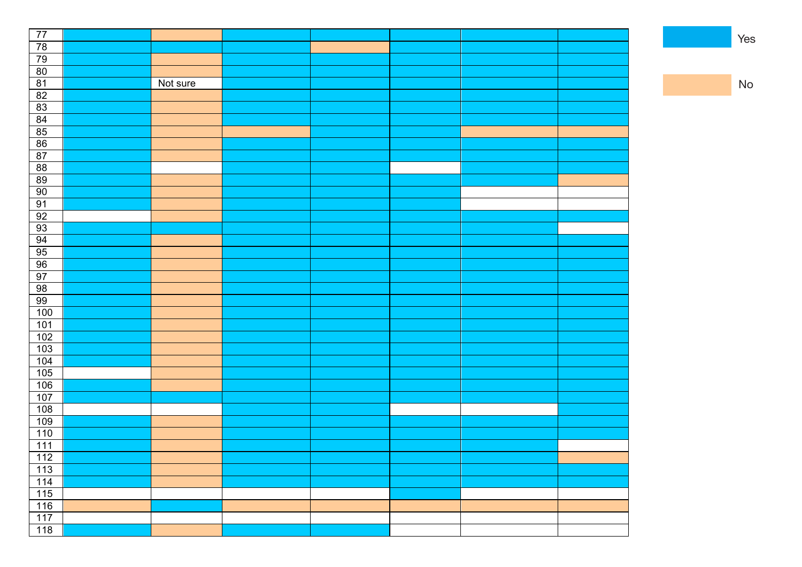| 77                                 |          |  |  |  |
|------------------------------------|----------|--|--|--|
| $\frac{78}{79}$                    |          |  |  |  |
|                                    |          |  |  |  |
|                                    |          |  |  |  |
| $\frac{80}{81}$                    | Not sure |  |  |  |
| 82                                 |          |  |  |  |
| 83                                 |          |  |  |  |
| $\frac{84}{85}$ $\frac{85}{86}$    |          |  |  |  |
|                                    |          |  |  |  |
|                                    |          |  |  |  |
| 87                                 |          |  |  |  |
| 88                                 |          |  |  |  |
| 89                                 |          |  |  |  |
| 90                                 |          |  |  |  |
| 91                                 |          |  |  |  |
| 92                                 |          |  |  |  |
| 93                                 |          |  |  |  |
|                                    |          |  |  |  |
|                                    |          |  |  |  |
| $\frac{94}{95}$<br>$\frac{95}{96}$ |          |  |  |  |
| 97                                 |          |  |  |  |
| 98                                 |          |  |  |  |
| 99                                 |          |  |  |  |
| 100                                |          |  |  |  |
| 101                                |          |  |  |  |
| 102                                |          |  |  |  |
| 103                                |          |  |  |  |
| $\frac{104}{ }$                    |          |  |  |  |
| 105                                |          |  |  |  |
| 106                                |          |  |  |  |
| 107                                |          |  |  |  |
| 108                                |          |  |  |  |
| 109                                |          |  |  |  |
| 110                                |          |  |  |  |
| 111                                |          |  |  |  |
| $112$                              |          |  |  |  |
| $\overline{113}$                   |          |  |  |  |
| $\frac{114}{114}$                  |          |  |  |  |
| 115                                |          |  |  |  |
| 116                                |          |  |  |  |
| $\frac{117}{117}$                  |          |  |  |  |
| $\frac{118}{ }$                    |          |  |  |  |

Yes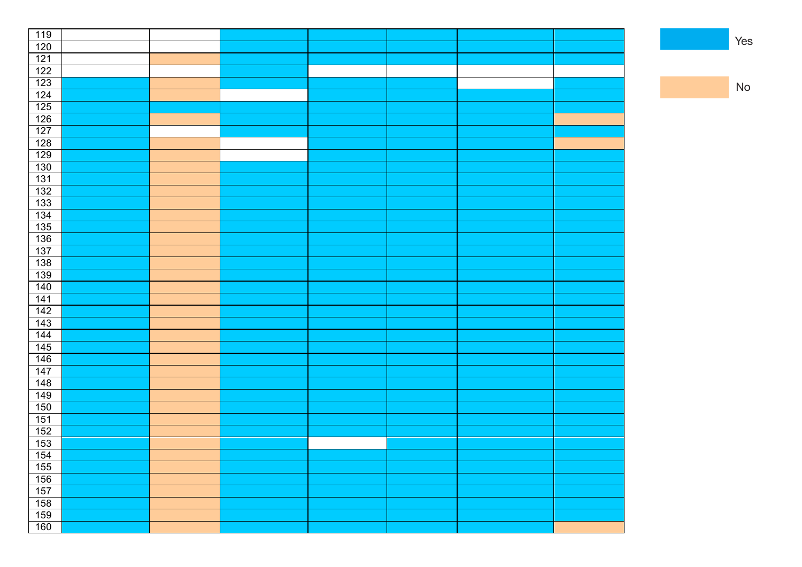| 119                                                   |  |  |  |  |
|-------------------------------------------------------|--|--|--|--|
| 120                                                   |  |  |  |  |
| $121$                                                 |  |  |  |  |
| $\overline{122}$                                      |  |  |  |  |
| 123                                                   |  |  |  |  |
| $\overline{124}$                                      |  |  |  |  |
| $\overline{125}$                                      |  |  |  |  |
| 126                                                   |  |  |  |  |
| 127                                                   |  |  |  |  |
| 128                                                   |  |  |  |  |
| 129                                                   |  |  |  |  |
| $\frac{130}{ }$                                       |  |  |  |  |
| 131                                                   |  |  |  |  |
| $\overline{132}$                                      |  |  |  |  |
| 133                                                   |  |  |  |  |
| 134                                                   |  |  |  |  |
| $\overline{135}$                                      |  |  |  |  |
| 136                                                   |  |  |  |  |
| 137                                                   |  |  |  |  |
| 138                                                   |  |  |  |  |
| 139                                                   |  |  |  |  |
| $\frac{140}{ }$                                       |  |  |  |  |
| $141$                                                 |  |  |  |  |
| $\overline{142}$                                      |  |  |  |  |
| $\overline{143}$                                      |  |  |  |  |
| 144                                                   |  |  |  |  |
| 145                                                   |  |  |  |  |
| 146                                                   |  |  |  |  |
| $\frac{147}{1}$                                       |  |  |  |  |
| 148                                                   |  |  |  |  |
| <u>149</u>                                            |  |  |  |  |
| 150                                                   |  |  |  |  |
| 151                                                   |  |  |  |  |
| $\overline{152}$                                      |  |  |  |  |
| 153                                                   |  |  |  |  |
| 154                                                   |  |  |  |  |
|                                                       |  |  |  |  |
|                                                       |  |  |  |  |
|                                                       |  |  |  |  |
|                                                       |  |  |  |  |
|                                                       |  |  |  |  |
| $\frac{155}{156}$ $\frac{157}{158}$ $\frac{159}{160}$ |  |  |  |  |

No